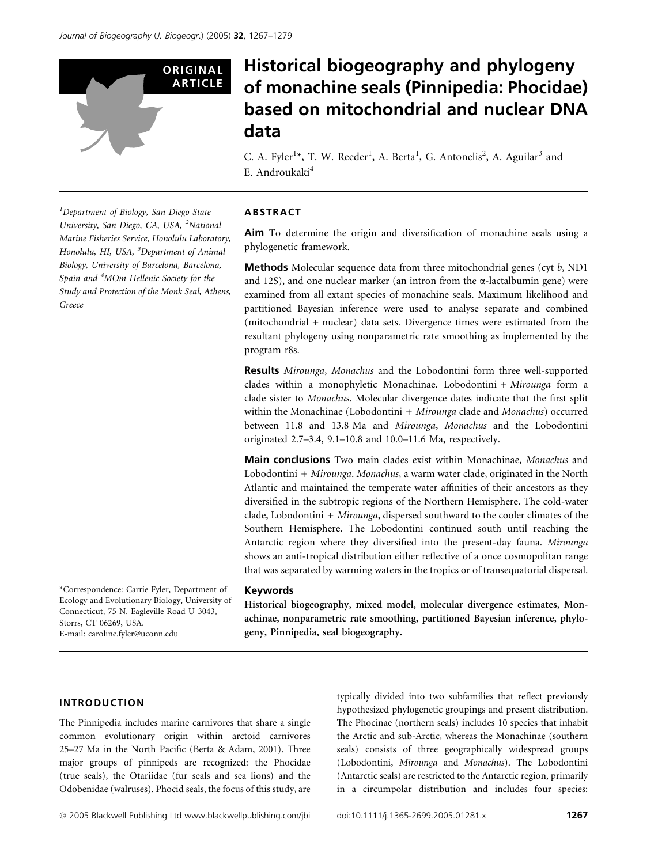

# Historical biogeography and phylogeny of monachine seals (Pinnipedia: Phocidae) based on mitochondrial and nuclear DNA data

C. A. Fyler<sup>1</sup>\*, T. W. Reeder<sup>1</sup>, A. Berta<sup>1</sup>, G. Antonelis<sup>2</sup>, A. Aguilar<sup>3</sup> and E. Androukaki<sup>4</sup>

<sup>1</sup>Department of Biology, San Diego State University, San Diego, CA, USA, <sup>2</sup>National Marine Fisheries Service, Honolulu Laboratory, Honolulu, HI, USA, <sup>3</sup>Department of Animal Biology, University of Barcelona, Barcelona, Spain and <sup>4</sup> MOm Hellenic Society for the Study and Protection of the Monk Seal, Athens, Greece

## ABSTRACT

Aim To determine the origin and diversification of monachine seals using a phylogenetic framework.

**Methods** Molecular sequence data from three mitochondrial genes (cyt  $b$ , ND1) and 12S), and one nuclear marker (an intron from the  $\alpha$ -lactalbumin gene) were examined from all extant species of monachine seals. Maximum likelihood and partitioned Bayesian inference were used to analyse separate and combined (mitochondrial + nuclear) data sets. Divergence times were estimated from the resultant phylogeny using nonparametric rate smoothing as implemented by the program r8s.

Results Mirounga, Monachus and the Lobodontini form three well-supported clades within a monophyletic Monachinae. Lobodontini + Mirounga form a clade sister to Monachus. Molecular divergence dates indicate that the first split within the Monachinae (Lobodontini  $+$  Mirounga clade and Monachus) occurred between 11.8 and 13.8 Ma and Mirounga, Monachus and the Lobodontini originated 2.7–3.4, 9.1–10.8 and 10.0–11.6 Ma, respectively.

Main conclusions Two main clades exist within Monachinae, Monachus and Lobodontini + Mirounga. Monachus, a warm water clade, originated in the North Atlantic and maintained the temperate water affinities of their ancestors as they diversified in the subtropic regions of the Northern Hemisphere. The cold-water clade, Lobodontini  $+$  *Mirounga*, dispersed southward to the cooler climates of the Southern Hemisphere. The Lobodontini continued south until reaching the Antarctic region where they diversified into the present-day fauna. Mirounga shows an anti-tropical distribution either reflective of a once cosmopolitan range that was separated by warming waters in the tropics or of transequatorial dispersal.

### Keywords

Historical biogeography, mixed model, molecular divergence estimates, Monachinae, nonparametric rate smoothing, partitioned Bayesian inference, phylogeny, Pinnipedia, seal biogeography.

Storrs, CT 06269, USA. E-mail: caroline.fyler@uconn.edu

\*Correspondence: Carrie Fyler, Department of Ecology and Evolutionary Biology, University of Connecticut, 75 N. Eagleville Road U-3043,

## INTRODUCTION

The Pinnipedia includes marine carnivores that share a single common evolutionary origin within arctoid carnivores 25–27 Ma in the North Pacific (Berta & Adam, 2001). Three major groups of pinnipeds are recognized: the Phocidae (true seals), the Otariidae (fur seals and sea lions) and the Odobenidae (walruses). Phocid seals, the focus of this study, are

typically divided into two subfamilies that reflect previously hypothesized phylogenetic groupings and present distribution. The Phocinae (northern seals) includes 10 species that inhabit the Arctic and sub-Arctic, whereas the Monachinae (southern seals) consists of three geographically widespread groups (Lobodontini, Mirounga and Monachus). The Lobodontini (Antarctic seals) are restricted to the Antarctic region, primarily in a circumpolar distribution and includes four species: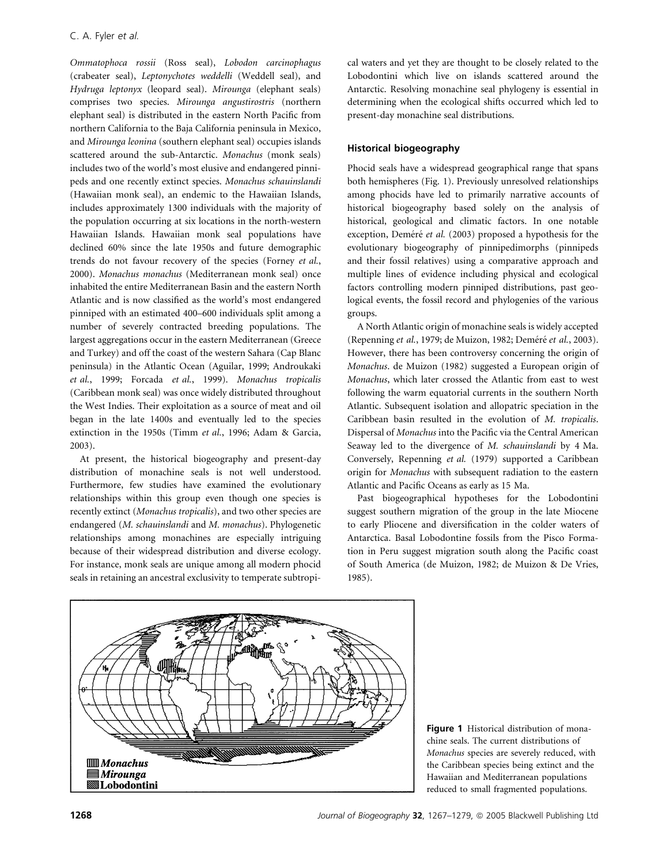Ommatophoca rossii (Ross seal), Lobodon carcinophagus (crabeater seal), Leptonychotes weddelli (Weddell seal), and Hydruga leptonyx (leopard seal). Mirounga (elephant seals) comprises two species. Mirounga angustirostris (northern elephant seal) is distributed in the eastern North Pacific from northern California to the Baja California peninsula in Mexico, and Mirounga leonina (southern elephant seal) occupies islands scattered around the sub-Antarctic. Monachus (monk seals) includes two of the world's most elusive and endangered pinnipeds and one recently extinct species. Monachus schauinslandi (Hawaiian monk seal), an endemic to the Hawaiian Islands, includes approximately 1300 individuals with the majority of the population occurring at six locations in the north-western Hawaiian Islands. Hawaiian monk seal populations have declined 60% since the late 1950s and future demographic trends do not favour recovery of the species (Forney et al., 2000). Monachus monachus (Mediterranean monk seal) once inhabited the entire Mediterranean Basin and the eastern North Atlantic and is now classified as the world's most endangered pinniped with an estimated 400–600 individuals split among a number of severely contracted breeding populations. The largest aggregations occur in the eastern Mediterranean (Greece and Turkey) and off the coast of the western Sahara (Cap Blanc peninsula) in the Atlantic Ocean (Aguilar, 1999; Androukaki et al., 1999; Forcada et al., 1999). Monachus tropicalis (Caribbean monk seal) was once widely distributed throughout the West Indies. Their exploitation as a source of meat and oil began in the late 1400s and eventually led to the species extinction in the 1950s (Timm et al., 1996; Adam & Garcia, 2003).

At present, the historical biogeography and present-day distribution of monachine seals is not well understood. Furthermore, few studies have examined the evolutionary relationships within this group even though one species is recently extinct (Monachus tropicalis), and two other species are endangered (M. schauinslandi and M. monachus). Phylogenetic relationships among monachines are especially intriguing because of their widespread distribution and diverse ecology. For instance, monk seals are unique among all modern phocid seals in retaining an ancestral exclusivity to temperate subtropical waters and yet they are thought to be closely related to the Lobodontini which live on islands scattered around the Antarctic. Resolving monachine seal phylogeny is essential in determining when the ecological shifts occurred which led to present-day monachine seal distributions.

# Historical biogeography

Phocid seals have a widespread geographical range that spans both hemispheres (Fig. 1). Previously unresolved relationships among phocids have led to primarily narrative accounts of historical biogeography based solely on the analysis of historical, geological and climatic factors. In one notable exception, Deméré et al. (2003) proposed a hypothesis for the evolutionary biogeography of pinnipedimorphs (pinnipeds and their fossil relatives) using a comparative approach and multiple lines of evidence including physical and ecological factors controlling modern pinniped distributions, past geological events, the fossil record and phylogenies of the various groups.

A North Atlantic origin of monachine seals is widely accepted (Repenning et al., 1979; de Muizon, 1982; Deméré et al., 2003). However, there has been controversy concerning the origin of Monachus. de Muizon (1982) suggested a European origin of Monachus, which later crossed the Atlantic from east to west following the warm equatorial currents in the southern North Atlantic. Subsequent isolation and allopatric speciation in the Caribbean basin resulted in the evolution of M. tropicalis. Dispersal of Monachus into the Pacific via the Central American Seaway led to the divergence of M. schauinslandi by 4 Ma. Conversely, Repenning et al. (1979) supported a Caribbean origin for Monachus with subsequent radiation to the eastern Atlantic and Pacific Oceans as early as 15 Ma.

Past biogeographical hypotheses for the Lobodontini suggest southern migration of the group in the late Miocene to early Pliocene and diversification in the colder waters of Antarctica. Basal Lobodontine fossils from the Pisco Formation in Peru suggest migration south along the Pacific coast of South America (de Muizon, 1982; de Muizon & De Vries, 1985).



Figure 1 Historical distribution of monachine seals. The current distributions of Monachus species are severely reduced, with the Caribbean species being extinct and the Hawaiian and Mediterranean populations reduced to small fragmented populations.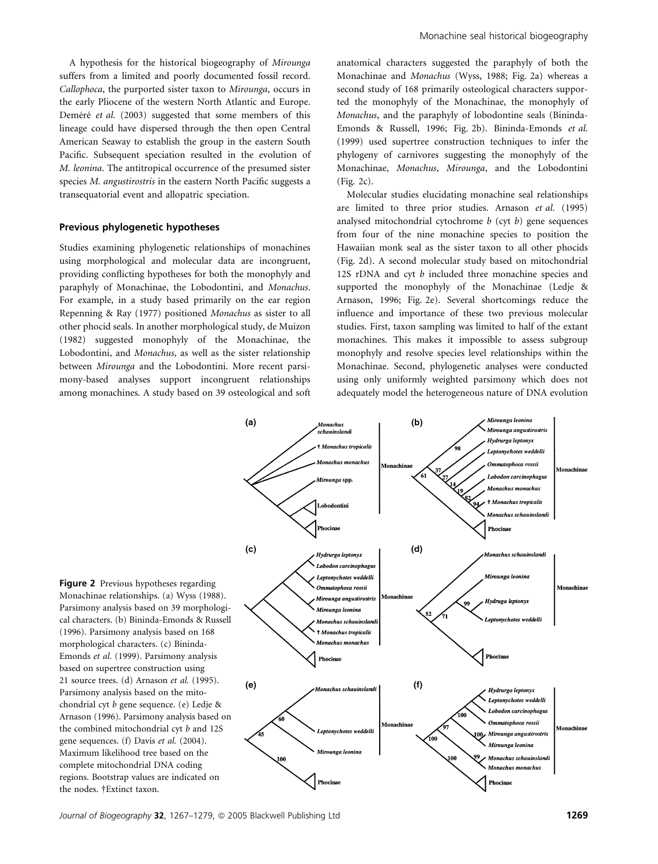A hypothesis for the historical biogeography of Mirounga suffers from a limited and poorly documented fossil record. Callophoca, the purported sister taxon to Mirounga, occurs in the early Pliocene of the western North Atlantic and Europe. Deméré et al. (2003) suggested that some members of this lineage could have dispersed through the then open Central American Seaway to establish the group in the eastern South Pacific. Subsequent speciation resulted in the evolution of M. leonina. The antitropical occurrence of the presumed sister species M. angustirostris in the eastern North Pacific suggests a transequatorial event and allopatric speciation.

#### Previous phylogenetic hypotheses

Studies examining phylogenetic relationships of monachines using morphological and molecular data are incongruent, providing conflicting hypotheses for both the monophyly and paraphyly of Monachinae, the Lobodontini, and Monachus. For example, in a study based primarily on the ear region Repenning & Ray (1977) positioned Monachus as sister to all other phocid seals. In another morphological study, de Muizon (1982) suggested monophyly of the Monachinae, the Lobodontini, and Monachus, as well as the sister relationship between Mirounga and the Lobodontini. More recent parsimony-based analyses support incongruent relationships among monachines. A study based on 39 osteological and soft

anatomical characters suggested the paraphyly of both the Monachinae and Monachus (Wyss, 1988; Fig. 2a) whereas a second study of 168 primarily osteological characters supported the monophyly of the Monachinae, the monophyly of Monachus, and the paraphyly of lobodontine seals (Bininda-Emonds & Russell, 1996; Fig. 2b). Bininda-Emonds et al. (1999) used supertree construction techniques to infer the phylogeny of carnivores suggesting the monophyly of the Monachinae, Monachus, Mirounga, and the Lobodontini (Fig. 2c).

Molecular studies elucidating monachine seal relationships are limited to three prior studies. Arnason et al. (1995) analysed mitochondrial cytochrome  $b$  (cyt  $b$ ) gene sequences from four of the nine monachine species to position the Hawaiian monk seal as the sister taxon to all other phocids (Fig. 2d). A second molecular study based on mitochondrial 12S rDNA and cyt b included three monachine species and supported the monophyly of the Monachinae (Ledje & Arnason, 1996; Fig. 2e). Several shortcomings reduce the influence and importance of these two previous molecular studies. First, taxon sampling was limited to half of the extant monachines. This makes it impossible to assess subgroup monophyly and resolve species level relationships within the Monachinae. Second, phylogenetic analyses were conducted using only uniformly weighted parsimony which does not adequately model the heterogeneous nature of DNA evolution

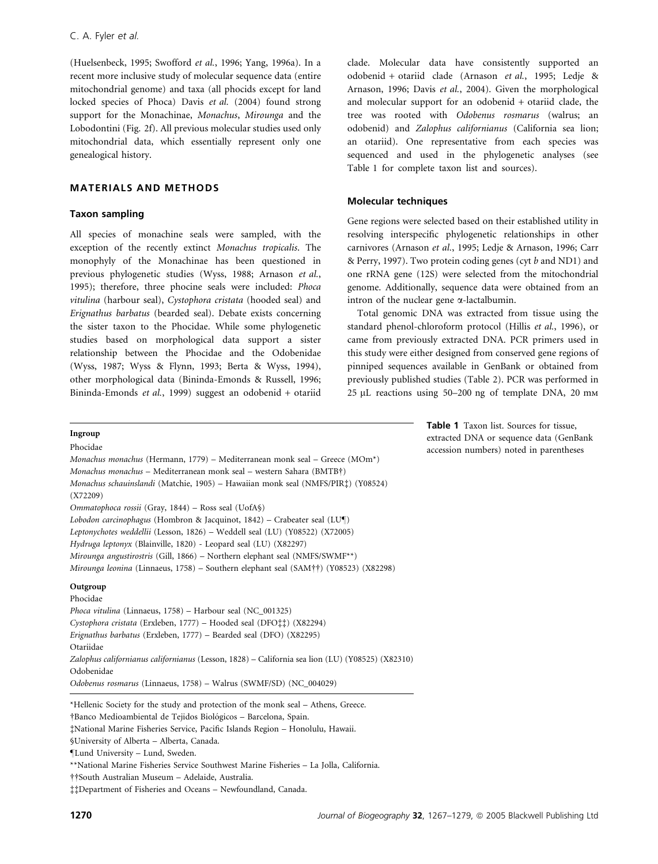(Huelsenbeck, 1995; Swofford et al., 1996; Yang, 1996a). In a recent more inclusive study of molecular sequence data (entire mitochondrial genome) and taxa (all phocids except for land locked species of Phoca) Davis et al. (2004) found strong support for the Monachinae, Monachus, Mirounga and the Lobodontini (Fig. 2f). All previous molecular studies used only mitochondrial data, which essentially represent only one genealogical history.

## MATERIALS AND METHODS

#### Taxon sampling

All species of monachine seals were sampled, with the exception of the recently extinct Monachus tropicalis. The monophyly of the Monachinae has been questioned in previous phylogenetic studies (Wyss, 1988; Arnason et al., 1995); therefore, three phocine seals were included: Phoca vitulina (harbour seal), Cystophora cristata (hooded seal) and Erignathus barbatus (bearded seal). Debate exists concerning the sister taxon to the Phocidae. While some phylogenetic studies based on morphological data support a sister relationship between the Phocidae and the Odobenidae (Wyss, 1987; Wyss & Flynn, 1993; Berta & Wyss, 1994), other morphological data (Bininda-Emonds & Russell, 1996; Bininda-Emonds et al., 1999) suggest an odobenid + otariid

# Ingroup

Phocidae Monachus monachus (Hermann, 1779) – Mediterranean monk seal – Greece (MOm\*) Monachus monachus - Mediterranean monk seal - western Sahara (BMTB†) Monachus schauinslandi (Matchie, 1905) - Hawaiian monk seal (NMFS/PIR‡) (Y08524) (X72209) Ommatophoca rossii (Gray, 1844) – Ross seal (UofA§) Lobodon carcinophagus (Hombron & Jacquinot, 1842) – Crabeater seal (LU–) Leptonychotes weddellii (Lesson, 1826) – Weddell seal (LU) (Y08522) (X72005) Hydruga leptonyx (Blainville, 1820) - Leopard seal (LU) (X82297) Mirounga angustirostris (Gill, 1866) – Northern elephant seal (NMFS/SWMF\*\*) Mirounga leonina (Linnaeus, 1758) – Southern elephant seal (SAM<sup>++</sup>) (Y08523) (X82298)

## **Outgroup**

Phocidae Phoca vitulina (Linnaeus, 1758) – Harbour seal (NC\_001325) Cystophora cristata (Erxleben, 1777) - Hooded seal (DFO‡‡) (X82294) Erignathus barbatus (Erxleben, 1777) – Bearded seal (DFO) (X82295) Otariidae Zalophus californianus californianus (Lesson, 1828) – California sea lion (LU) (Y08525) (X82310) Odobenidae Odobenus rosmarus (Linnaeus, 1758) – Walrus (SWMF/SD) (NC\_004029)

\*Hellenic Society for the study and protection of the monk seal – Athens, Greece.

†Banco Medioambiental de Tejidos Biológicos – Barcelona, Spain.

clade. Molecular data have consistently supported an odobenid + otariid clade (Arnason et al., 1995; Ledje & Arnason, 1996; Davis et al., 2004). Given the morphological and molecular support for an odobenid + otariid clade, the tree was rooted with Odobenus rosmarus (walrus; an odobenid) and Zalophus californianus (California sea lion; an otariid). One representative from each species was sequenced and used in the phylogenetic analyses (see Table 1 for complete taxon list and sources).

#### Molecular techniques

Gene regions were selected based on their established utility in resolving interspecific phylogenetic relationships in other carnivores (Arnason et al., 1995; Ledje & Arnason, 1996; Carr & Perry, 1997). Two protein coding genes (cyt b and ND1) and one rRNA gene (12S) were selected from the mitochondrial genome. Additionally, sequence data were obtained from an intron of the nuclear gene  $\alpha$ -lactalbumin.

Total genomic DNA was extracted from tissue using the standard phenol-chloroform protocol (Hillis et al., 1996), or came from previously extracted DNA. PCR primers used in this study were either designed from conserved gene regions of pinniped sequences available in GenBank or obtained from previously published studies (Table 2). PCR was performed in 25 µL reactions using 50–200 ng of template DNA, 20 mm

> Table 1 Taxon list. Sources for tissue, extracted DNA or sequence data (GenBank accession numbers) noted in parentheses

<sup>-</sup>National Marine Fisheries Service, Pacific Islands Region – Honolulu, Hawaii.

<sup>§</sup>University of Alberta – Alberta, Canada.

<sup>–</sup>Lund University – Lund, Sweden.

<sup>\*\*</sup>National Marine Fisheries Service Southwest Marine Fisheries – La Jolla, California.

<sup>††</sup>South Australian Museum - Adelaide, Australia.

<sup>-</sup>-Department of Fisheries and Oceans – Newfoundland, Canada.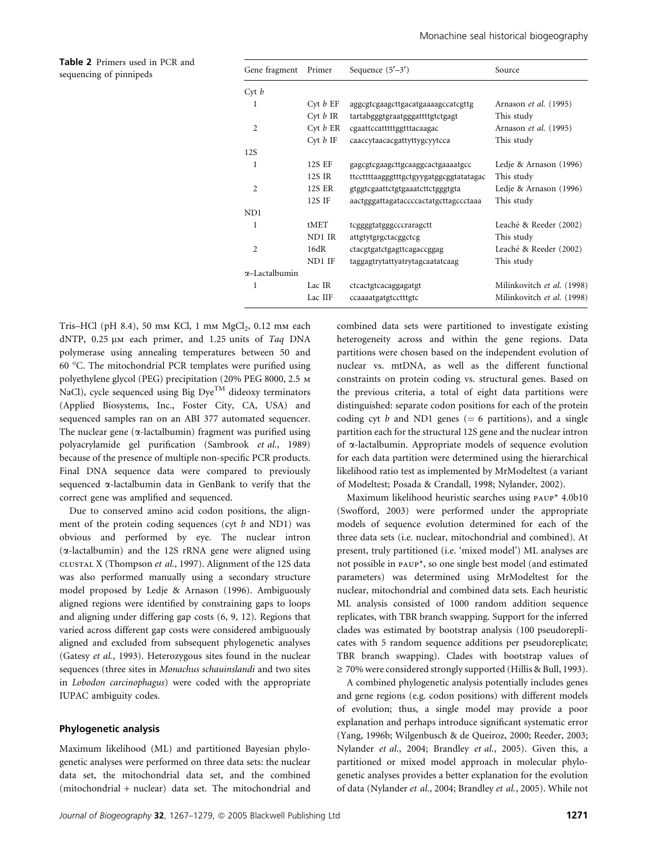| <b>Table 2</b> Primers used in PCR and |  |  |
|----------------------------------------|--|--|
| sequencing of pinnipeds                |  |  |

| <b>Table 2</b> Primers used in PCR and<br>sequencing of pinnipeds | Gene fragment  | Primer     | Sequence $(5'–3')$                      | Source                     |
|-------------------------------------------------------------------|----------------|------------|-----------------------------------------|----------------------------|
|                                                                   | Cyt b          |            |                                         |                            |
|                                                                   |                | Cyt $b$ EF | aggcgtcgaagcttgacatgaaaagccatcgttg      | Arnason et al. (1995)      |
|                                                                   |                | Cyt b IR   | tartabgggtgraatgggattttgtctgagt         | This study                 |
|                                                                   | $\overline{2}$ | Cyt $b$ ER | cgaattccatttttggtttacaagac              | Arnason et al. (1995)      |
|                                                                   |                | Cvt b IF   | caaccytaacacgattyttygcyytcca            | This study                 |
|                                                                   | 12S            |            |                                         |                            |
|                                                                   |                | 12S EF     | gagcgtcgaagcttgcaaggcactgaaaatgcc       | Ledje & Arnason (1996)     |
|                                                                   |                | 12S IR     | ttccttttaagggtttgctgyygatggcggtatatagac | This study                 |
|                                                                   | $\overline{2}$ | 12S ER     | gtggtcgaattctgtgaaatcttctgggtgta        | Ledje & Arnason (1996)     |
|                                                                   |                | 12S IF     | aactgggattagataccccactatgcttagccctaaa   | This study                 |
|                                                                   | ND1            |            |                                         |                            |
|                                                                   |                | tMET       | tcggggtatgggcccraragctt                 | Leaché & Reeder (2002)     |
|                                                                   |                | ND1 IR     | attgtytgrgctacggctcg                    | This study                 |
|                                                                   | $\overline{2}$ | 16dR       | ctacgtgatctgagttcagaccggag              | Leaché & Reeder (2002)     |
|                                                                   |                | ND1 IF     | taggagtrytattyatrytagcaatatcaag         | This study                 |
|                                                                   | α-Lactalbumin  |            |                                         |                            |
|                                                                   |                | Lac IR     | ctcactgtcacaggagatgt                    | Milinkovitch et al. (1998) |
|                                                                   |                | Lac IIF    | ccaaaatgatgtcctttgtc                    | Milinkovitch et al. (1998) |
|                                                                   |                |            |                                         |                            |

Tris–HCl (pH 8.4), 50 mm KCl, 1 mm  $MgCl<sub>2</sub>$ , 0.12 mm each dNTP, 0.25 µm each primer, and 1.25 units of Taq DNA polymerase using annealing temperatures between 50 and 60  $\degree$ C. The mitochondrial PCR templates were purified using polyethylene glycol (PEG) precipitation (20% PEG 8000, 2.5 m NaCl), cycle sequenced using Big  $Dye^{TM}$  dideoxy terminators (Applied Biosystems, Inc., Foster City, CA, USA) and sequenced samples ran on an ABI 377 automated sequencer. The nuclear gene ( $\alpha$ -lactalbumin) fragment was purified using polyacrylamide gel purification (Sambrook et al., 1989) because of the presence of multiple non-specific PCR products. Final DNA sequence data were compared to previously sequenced a-lactalbumin data in GenBank to verify that the correct gene was amplified and sequenced.

Due to conserved amino acid codon positions, the alignment of the protein coding sequences (cyt  $b$  and ND1) was obvious and performed by eye. The nuclear intron ( $\alpha$ -lactalbumin) and the 12S rRNA gene were aligned using clustal X (Thompson et al., 1997). Alignment of the 12S data was also performed manually using a secondary structure model proposed by Ledje & Arnason (1996). Ambiguously aligned regions were identified by constraining gaps to loops and aligning under differing gap costs (6, 9, 12). Regions that varied across different gap costs were considered ambiguously aligned and excluded from subsequent phylogenetic analyses (Gatesy et al., 1993). Heterozygous sites found in the nuclear sequences (three sites in Monachus schauinslandi and two sites in Lobodon carcinophagus) were coded with the appropriate IUPAC ambiguity codes.

## Phylogenetic analysis

Maximum likelihood (ML) and partitioned Bayesian phylogenetic analyses were performed on three data sets: the nuclear data set, the mitochondrial data set, and the combined (mitochondrial + nuclear) data set. The mitochondrial and

combined data sets were partitioned to investigate existing heterogeneity across and within the gene regions. Data partitions were chosen based on the independent evolution of nuclear vs. mtDNA, as well as the different functional constraints on protein coding vs. structural genes. Based on the previous criteria, a total of eight data partitions were distinguished: separate codon positions for each of the protein coding cyt  $b$  and ND1 genes (= 6 partitions), and a single partition each for the structural 12S gene and the nuclear intron of a-lactalbumin. Appropriate models of sequence evolution for each data partition were determined using the hierarchical likelihood ratio test as implemented by MrModeltest (a variant of Modeltest; Posada & Crandall, 1998; Nylander, 2002).

Maximum likelihood heuristic searches using paup\* 4.0b10 (Swofford, 2003) were performed under the appropriate models of sequence evolution determined for each of the three data sets (i.e. nuclear, mitochondrial and combined). At present, truly partitioned (i.e. 'mixed model') ML analyses are not possible in paup\*, so one single best model (and estimated parameters) was determined using MrModeltest for the nuclear, mitochondrial and combined data sets. Each heuristic ML analysis consisted of 1000 random addition sequence replicates, with TBR branch swapping. Support for the inferred clades was estimated by bootstrap analysis (100 pseudoreplicates with 5 random sequence additions per pseudoreplicate; TBR branch swapping). Clades with bootstrap values of  $\geq$  70% were considered strongly supported (Hillis & Bull, 1993).

A combined phylogenetic analysis potentially includes genes and gene regions (e.g. codon positions) with different models of evolution; thus, a single model may provide a poor explanation and perhaps introduce significant systematic error (Yang, 1996b; Wilgenbusch & de Queiroz, 2000; Reeder, 2003; Nylander et al., 2004; Brandley et al., 2005). Given this, a partitioned or mixed model approach in molecular phylogenetic analyses provides a better explanation for the evolution of data (Nylander et al., 2004; Brandley et al., 2005). While not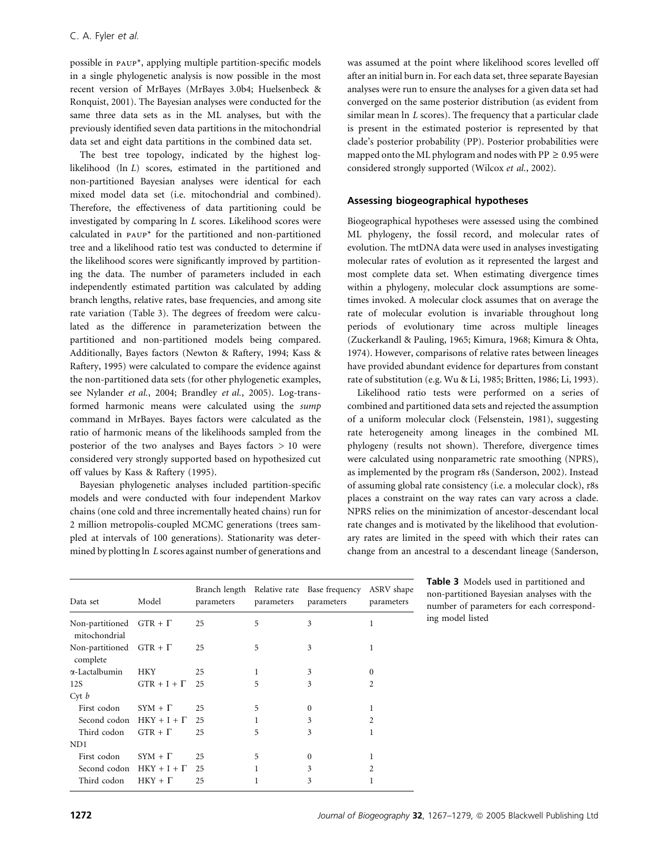possible in paup\*, applying multiple partition-specific models in a single phylogenetic analysis is now possible in the most recent version of MrBayes (MrBayes 3.0b4; Huelsenbeck & Ronquist, 2001). The Bayesian analyses were conducted for the same three data sets as in the ML analyses, but with the previously identified seven data partitions in the mitochondrial data set and eight data partitions in the combined data set.

The best tree topology, indicated by the highest loglikelihood (ln L) scores, estimated in the partitioned and non-partitioned Bayesian analyses were identical for each mixed model data set (i.e. mitochondrial and combined). Therefore, the effectiveness of data partitioning could be investigated by comparing ln L scores. Likelihood scores were calculated in paup\* for the partitioned and non-partitioned tree and a likelihood ratio test was conducted to determine if the likelihood scores were significantly improved by partitioning the data. The number of parameters included in each independently estimated partition was calculated by adding branch lengths, relative rates, base frequencies, and among site rate variation (Table 3). The degrees of freedom were calculated as the difference in parameterization between the partitioned and non-partitioned models being compared. Additionally, Bayes factors (Newton & Raftery, 1994; Kass & Raftery, 1995) were calculated to compare the evidence against the non-partitioned data sets (for other phylogenetic examples, see Nylander et al., 2004; Brandley et al., 2005). Log-transformed harmonic means were calculated using the sump command in MrBayes. Bayes factors were calculated as the ratio of harmonic means of the likelihoods sampled from the posterior of the two analyses and Bayes factors > 10 were considered very strongly supported based on hypothesized cut off values by Kass & Raftery (1995).

Bayesian phylogenetic analyses included partition-specific models and were conducted with four independent Markov chains (one cold and three incrementally heated chains) run for 2 million metropolis-coupled MCMC generations (trees sampled at intervals of 100 generations). Stationarity was determined by plotting ln L scores against number of generations and was assumed at the point where likelihood scores levelled off after an initial burn in. For each data set, three separate Bayesian analyses were run to ensure the analyses for a given data set had converged on the same posterior distribution (as evident from similar mean ln L scores). The frequency that a particular clade is present in the estimated posterior is represented by that clade's posterior probability (PP). Posterior probabilities were mapped onto the ML phylogram and nodes with PP  $\geq 0.95$  were considered strongly supported (Wilcox et al., 2002).

## Assessing biogeographical hypotheses

Biogeographical hypotheses were assessed using the combined ML phylogeny, the fossil record, and molecular rates of evolution. The mtDNA data were used in analyses investigating molecular rates of evolution as it represented the largest and most complete data set. When estimating divergence times within a phylogeny, molecular clock assumptions are sometimes invoked. A molecular clock assumes that on average the rate of molecular evolution is invariable throughout long periods of evolutionary time across multiple lineages (Zuckerkandl & Pauling, 1965; Kimura, 1968; Kimura & Ohta, 1974). However, comparisons of relative rates between lineages have provided abundant evidence for departures from constant rate of substitution (e.g. Wu & Li, 1985; Britten, 1986; Li, 1993).

Likelihood ratio tests were performed on a series of combined and partitioned data sets and rejected the assumption of a uniform molecular clock (Felsenstein, 1981), suggesting rate heterogeneity among lineages in the combined ML phylogeny (results not shown). Therefore, divergence times were calculated using nonparametric rate smoothing (NPRS), as implemented by the program r8s (Sanderson, 2002). Instead of assuming global rate consistency (i.e. a molecular clock), r8s places a constraint on the way rates can vary across a clade. NPRS relies on the minimization of ancestor-descendant local rate changes and is motivated by the likelihood that evolutionary rates are limited in the speed with which their rates can change from an ancestral to a descendant lineage (Sanderson,

| Data set                                        | Model              | parameters | parameters | Branch length Relative rate Base frequency ASRV shape<br>parameters |                |
|-------------------------------------------------|--------------------|------------|------------|---------------------------------------------------------------------|----------------|
|                                                 |                    |            |            |                                                                     | parameters     |
| Non-partitioned $GTR + \Gamma$<br>mitochondrial |                    | 25         | 5          | 3                                                                   | 1              |
| Non-partitioned $GTR + \Gamma$<br>complete      |                    | 25         | 5          | 3                                                                   | 1              |
| $\alpha$ -Lactalbumin                           | HKY                | 25         | 1          | 3                                                                   | $\Omega$       |
| 12S                                             | $GTR + I + \Gamma$ | 25         | 5          | 3                                                                   | $\mathfrak{D}$ |
| Cyt b                                           |                    |            |            |                                                                     |                |
| First codon                                     | $SYM + \Gamma$     | 25         | 5          | 0                                                                   |                |
| Second codon $HKY + I + \Gamma$                 |                    | 25         |            | 3                                                                   | 2              |
| Third codon                                     | $GTR + \Gamma$     | 25         | 5          | 3                                                                   |                |
| ND1                                             |                    |            |            |                                                                     |                |
| First codon                                     | $SYM + \Gamma$     | 25         | 5          | $\Omega$                                                            |                |
| Second codon                                    | $HKY + I + \Gamma$ | 25         |            | 3                                                                   | $\mathfrak{D}$ |
| Third codon                                     | $HKY + \Gamma$     | 25         |            | 3                                                                   |                |

Table 3 Models used in partitioned and non-partitioned Bayesian analyses with the number of parameters for each corresponding model listed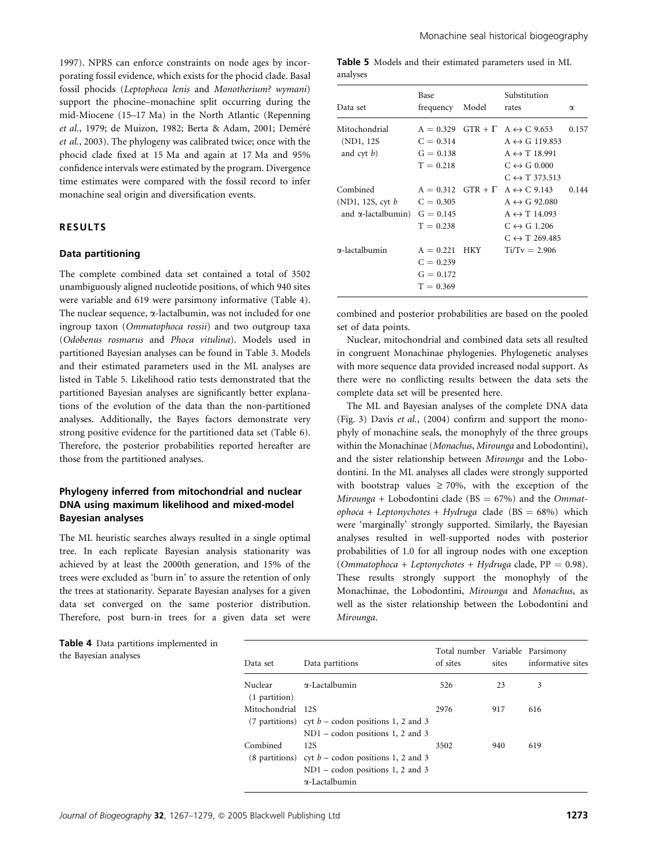1997). NPRS can enforce constraints on node ages by incorporating fossil evidence, which exists for the phocid clade. Basal fossil phocids (Leptophoca lenis and Monotherium? wymani) support the phocine–monachine split occurring during the mid-Miocene (15–17 Ma) in the North Atlantic (Repenning et al., 1979; de Muizon, 1982; Berta & Adam, 2001; Deméré et al., 2003). The phylogeny was calibrated twice; once with the phocid clade fixed at 15 Ma and again at 17 Ma and 95% confidence intervals were estimated by the program. Divergence time estimates were compared with the fossil record to infer monachine seal origin and diversification events.

## RESULTS

## Data partitioning

The complete combined data set contained a total of 3502 unambiguously aligned nucleotide positions, of which 940 sites were variable and 619 were parsimony informative (Table 4). The nuclear sequence,  $\alpha$ -lactalbumin, was not included for one ingroup taxon (Ommatophoca rossii) and two outgroup taxa (Odobenus rosmarus and Phoca vitulina). Models used in partitioned Bayesian analyses can be found in Table 3. Models and their estimated parameters used in the ML analyses are listed in Table 5. Likelihood ratio tests demonstrated that the partitioned Bayesian analyses are significantly better explanations of the evolution of the data than the non-partitioned analyses. Additionally, the Bayes factors demonstrate very strong positive evidence for the partitioned data set (Table 6). Therefore, the posterior probabilities reported hereafter are those from the partitioned analyses.

## Phylogeny inferred from mitochondrial and nuclear DNA using maximum likelihood and mixed-model Bayesian analyses

The ML heuristic searches always resulted in a single optimal tree. In each replicate Bayesian analysis stationarity was achieved by at least the 2000th generation, and 15% of the trees were excluded as 'burn in' to assure the retention of only the trees at stationarity. Separate Bayesian analyses for a given data set converged on the same posterior distribution. Therefore, post burn-in trees for a given data set were

Table 4 Data partitions implemented in the Bayesian analyses

Table 5 Models and their estimated parameters used in ML analyses

| Data set                                                                | Base<br>frequency Model                                  |            | Substitution<br>rates                                                                                                                                                                   | α     |
|-------------------------------------------------------------------------|----------------------------------------------------------|------------|-----------------------------------------------------------------------------------------------------------------------------------------------------------------------------------------|-------|
| Mitochondrial<br>(ND1, 12S)<br>and $\cot b$                             | $C = 0.314$<br>$G = 0.138$<br>$T = 0.218$                |            | $A = 0.329$ GTR + $\Gamma$ A $\leftrightarrow$ C 9.653<br>$A \leftrightarrow G$ 119.853<br>$A \leftrightarrow T 18.991$<br>$C \leftrightarrow G$ 0.000<br>$C \leftrightarrow T$ 373.513 | 0.157 |
| Combined<br>(ND1, 12S, cyt b)<br>and $\alpha$ -lactalbumin) $G = 0.145$ | $C = 0.305$<br>$T = 0.238$                               |            | $A = 0.312$ GTR + $\Gamma$ A $\leftrightarrow$ C 9.143<br>$A \leftrightarrow G$ 92.080<br>$A \leftrightarrow T$ 14.093<br>$C \leftrightarrow G$ 1.206<br>$C \leftrightarrow T$ 269.485  | 0.144 |
| $\alpha$ -lactalbumin                                                   | $A = 0.221$<br>$C = 0.239$<br>$G = 0.172$<br>$T = 0.369$ | <b>HKY</b> | $Ti/Tv = 2.906$                                                                                                                                                                         |       |

combined and posterior probabilities are based on the pooled set of data points.

Nuclear, mitochondrial and combined data sets all resulted in congruent Monachinae phylogenies. Phylogenetic analyses with more sequence data provided increased nodal support. As there were no conflicting results between the data sets the complete data set will be presented here.

The ML and Bayesian analyses of the complete DNA data (Fig. 3) Davis et al., (2004) confirm and support the monophyly of monachine seals, the monophyly of the three groups within the Monachinae (Monachus, Mirounga and Lobodontini), and the sister relationship between Mirounga and the Lobodontini. In the ML analyses all clades were strongly supported with bootstrap values  $\geq 70\%$ , with the exception of the Mirounga + Lobodontini clade (BS =  $67\%$ ) and the Ommatophoca + Leptonychotes + Hydruga clade (BS =  $68\%$ ) which were 'marginally' strongly supported. Similarly, the Bayesian analyses resulted in well-supported nodes with posterior probabilities of 1.0 for all ingroup nodes with one exception (Ommatophoca + Leptonychotes + Hydruga clade,  $PP = 0.98$ ). These results strongly support the monophyly of the Monachinae, the Lobodontini, Mirounga and Monachus, as well as the sister relationship between the Lobodontini and Mirounga.

| Data set                 | Data partitions                                                                                                                                      | Total number Variable Parsimony<br>of sites | sites | informative sites |
|--------------------------|------------------------------------------------------------------------------------------------------------------------------------------------------|---------------------------------------------|-------|-------------------|
| Nuclear<br>(1 partition) | α-Lactalbumin                                                                                                                                        | 526                                         | 23    | 3                 |
| Mitochondrial 12S        | (7 partitions) cyt $b$ – codon positions 1, 2 and 3<br>$ND1 - codon$ positions 1, 2 and 3                                                            | 2976                                        | 917   | 616               |
| Combined                 | 12S<br>$(8 \text{ partitions})$ cyt $b - \text{codon positions } 1, 2 \text{ and } 3$<br>$ND1 - codon$ positions 1, 2 and 3<br>$\alpha$ -Lactalbumin | 3502                                        | 940   | 619               |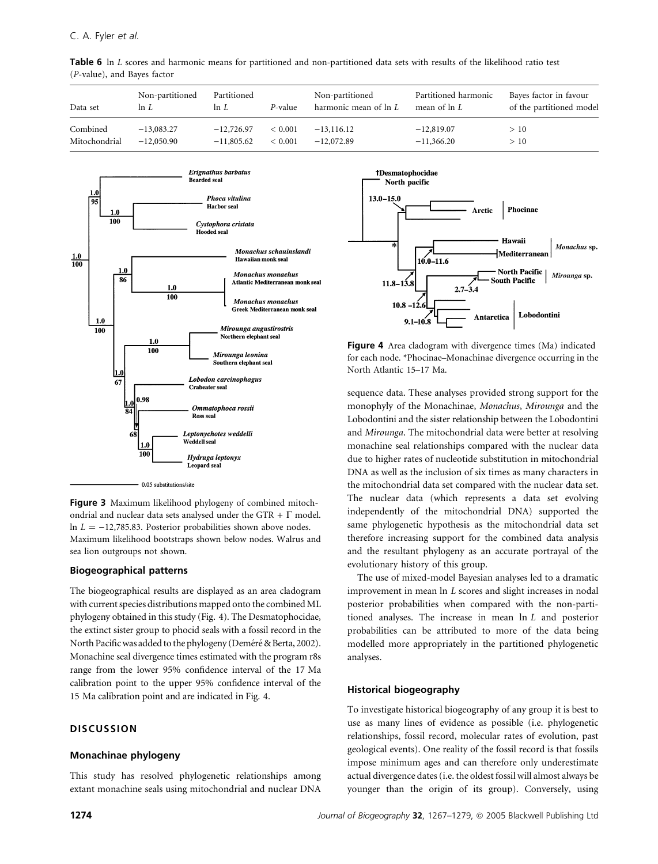| Data set      | Non-partitioned<br>ln L | Partitioned<br>$\ln L$ | P-value     | Non-partitioned<br>harmonic mean of ln L | Partitioned harmonic<br>mean of $\ln L$ | Bayes factor in favour<br>of the partitioned model |
|---------------|-------------------------|------------------------|-------------|------------------------------------------|-----------------------------------------|----------------------------------------------------|
| Combined      | $-13,083,27$            | $-12,726.97$           | ${}< 0.001$ | $-13,116,12$                             | $-12,819.07$                            | >10                                                |
| Mitochondrial | $-12,050.90$            | $-11,805.62$           | ${}< 0.001$ | $-12,072,89$                             | $-11,366.20$                            | >10                                                |

Table 6 ln L scores and harmonic means for partitioned and non-partitioned data sets with results of the likelihood ratio test (P-value), and Bayes factor



Figure 3 Maximum likelihood phylogeny of combined mitochondrial and nuclear data sets analysed under the GTR +  $\Gamma$  model.  $\ln L = -12,785.83$ . Posterior probabilities shown above nodes. Maximum likelihood bootstraps shown below nodes. Walrus and sea lion outgroups not shown.

#### Biogeographical patterns

The biogeographical results are displayed as an area cladogram with current species distributions mapped onto the combined ML phylogeny obtained in this study (Fig. 4). The Desmatophocidae, the extinct sister group to phocid seals with a fossil record in the North Pacific was added to the phylogeny (Deméré & Berta, 2002). Monachine seal divergence times estimated with the program r8s range from the lower 95% confidence interval of the 17 Ma calibration point to the upper 95% confidence interval of the 15 Ma calibration point and are indicated in Fig. 4.

## **DISCUSSION**

## Monachinae phylogeny

This study has resolved phylogenetic relationships among extant monachine seals using mitochondrial and nuclear DNA



Figure 4 Area cladogram with divergence times (Ma) indicated for each node. \*Phocinae–Monachinae divergence occurring in the North Atlantic 15–17 Ma.

sequence data. These analyses provided strong support for the monophyly of the Monachinae, Monachus, Mirounga and the Lobodontini and the sister relationship between the Lobodontini and Mirounga. The mitochondrial data were better at resolving monachine seal relationships compared with the nuclear data due to higher rates of nucleotide substitution in mitochondrial DNA as well as the inclusion of six times as many characters in the mitochondrial data set compared with the nuclear data set. The nuclear data (which represents a data set evolving independently of the mitochondrial DNA) supported the same phylogenetic hypothesis as the mitochondrial data set therefore increasing support for the combined data analysis and the resultant phylogeny as an accurate portrayal of the evolutionary history of this group.

The use of mixed-model Bayesian analyses led to a dramatic improvement in mean ln L scores and slight increases in nodal posterior probabilities when compared with the non-partitioned analyses. The increase in mean ln L and posterior probabilities can be attributed to more of the data being modelled more appropriately in the partitioned phylogenetic analyses.

#### Historical biogeography

To investigate historical biogeography of any group it is best to use as many lines of evidence as possible (i.e. phylogenetic relationships, fossil record, molecular rates of evolution, past geological events). One reality of the fossil record is that fossils impose minimum ages and can therefore only underestimate actual divergence dates (i.e. the oldest fossil will almost always be younger than the origin of its group). Conversely, using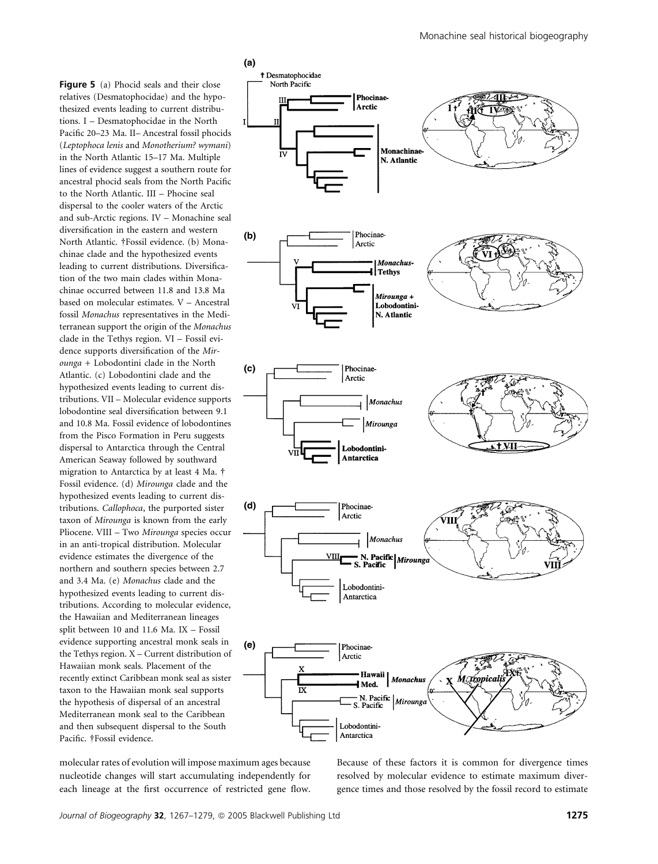Figure 5 (a) Phocid seals and their close relatives (Desmatophocidae) and the hypothesized events leading to current distributions. I – Desmatophocidae in the North Pacific 20–23 Ma. II– Ancestral fossil phocids (Leptophoca lenis and Monotherium? wymani) in the North Atlantic 15–17 Ma. Multiple lines of evidence suggest a southern route for ancestral phocid seals from the North Pacific to the North Atlantic. III – Phocine seal dispersal to the cooler waters of the Arctic and sub-Arctic regions. IV – Monachine seal diversification in the eastern and western North Atlantic. †Fossil evidence. (b) Monachinae clade and the hypothesized events leading to current distributions. Diversification of the two main clades within Monachinae occurred between 11.8 and 13.8 Ma based on molecular estimates. V – Ancestral fossil Monachus representatives in the Mediterranean support the origin of the Monachus clade in the Tethys region. VI – Fossil evidence supports diversification of the Mirounga + Lobodontini clade in the North Atlantic. (c) Lobodontini clade and the hypothesized events leading to current distributions. VII – Molecular evidence supports lobodontine seal diversification between 9.1 and 10.8 Ma. Fossil evidence of lobodontines from the Pisco Formation in Peru suggests dispersal to Antarctica through the Central American Seaway followed by southward migration to Antarctica by at least 4 Ma. Fossil evidence. (d) Mirounga clade and the hypothesized events leading to current distributions. Callophoca, the purported sister taxon of Mirounga is known from the early Pliocene. VIII – Two Mirounga species occur in an anti-tropical distribution. Molecular evidence estimates the divergence of the northern and southern species between 2.7 and 3.4 Ma. (e) Monachus clade and the hypothesized events leading to current distributions. According to molecular evidence, the Hawaiian and Mediterranean lineages split between 10 and 11.6 Ma. IX – Fossil evidence supporting ancestral monk seals in the Tethys region. X – Current distribution of Hawaiian monk seals. Placement of the recently extinct Caribbean monk seal as sister taxon to the Hawaiian monk seal supports the hypothesis of dispersal of an ancestral Mediterranean monk seal to the Caribbean and then subsequent dispersal to the South Pacific. †Fossil evidence.

 $(a)$ 

**† Desmatophocidae** North Pacific

> **Phocinae-Arctic**

Monachinae N. Atlantic  $(b)$ Phocinae-Arctic Monachus-Tethys Mirounga + Lobodontini-N. Atlantic  $(c)$ Phocinae Arctic Monachus Mirounga Lobodontini-Antarctica  $(d)$ Phocinae Arctic **Monachus** N. Pacific Mirounga VIII S. Pacific Lobodontini-Antarctica  $(e)$ Phocinae-Arctic Hawaii M.tropical **Monachus** Med.  $\overline{\text{rx}}$ N. Pacific Mirounga S. Pacific Lobodontini-Antarctica

molecular rates of evolution will impose maximum ages because nucleotide changes will start accumulating independently for each lineage at the first occurrence of restricted gene flow. Because of these factors it is common for divergence times resolved by molecular evidence to estimate maximum divergence times and those resolved by the fossil record to estimate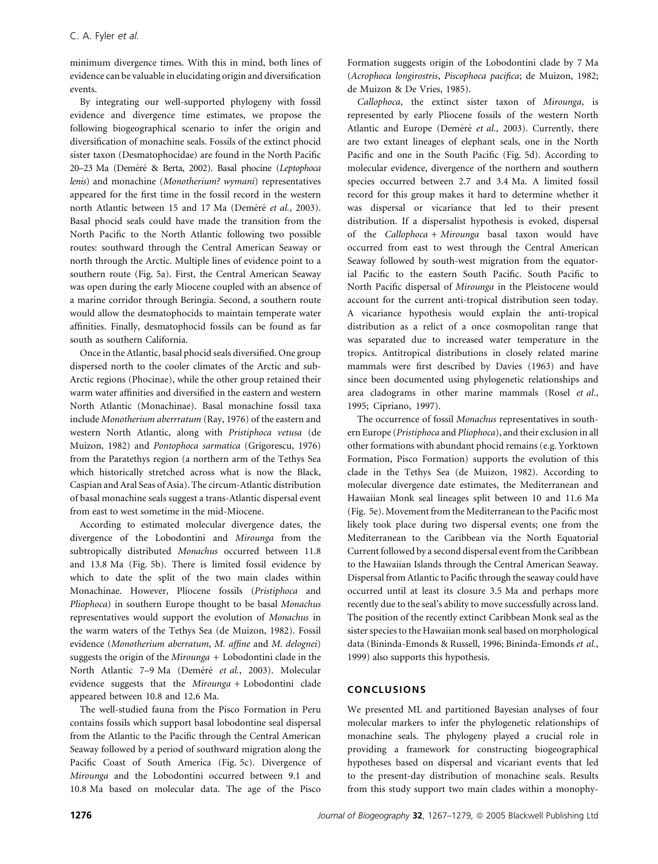minimum divergence times. With this in mind, both lines of evidence can be valuable in elucidating origin and diversification events.

By integrating our well-supported phylogeny with fossil evidence and divergence time estimates, we propose the following biogeographical scenario to infer the origin and diversification of monachine seals. Fossils of the extinct phocid sister taxon (Desmatophocidae) are found in the North Pacific 20-23 Ma (Deméré & Berta, 2002). Basal phocine (Leptophoca lenis) and monachine (Monotherium? wymani) representatives appeared for the first time in the fossil record in the western north Atlantic between 15 and 17 Ma (Deméré et al., 2003). Basal phocid seals could have made the transition from the North Pacific to the North Atlantic following two possible routes: southward through the Central American Seaway or north through the Arctic. Multiple lines of evidence point to a southern route (Fig. 5a). First, the Central American Seaway was open during the early Miocene coupled with an absence of a marine corridor through Beringia. Second, a southern route would allow the desmatophocids to maintain temperate water affinities. Finally, desmatophocid fossils can be found as far south as southern California.

Once in the Atlantic, basal phocid seals diversified. One group dispersed north to the cooler climates of the Arctic and sub-Arctic regions (Phocinae), while the other group retained their warm water affinities and diversified in the eastern and western North Atlantic (Monachinae). Basal monachine fossil taxa include Monotherium aberrratum (Ray, 1976) of the eastern and western North Atlantic, along with Pristiphoca vetusa (de Muizon, 1982) and Pontophoca sarmatica (Grigorescu, 1976) from the Paratethys region (a northern arm of the Tethys Sea which historically stretched across what is now the Black, Caspian and Aral Seas of Asia). The circum-Atlantic distribution of basal monachine seals suggest a trans-Atlantic dispersal event from east to west sometime in the mid-Miocene.

According to estimated molecular divergence dates, the divergence of the Lobodontini and Mirounga from the subtropically distributed Monachus occurred between 11.8 and 13.8 Ma (Fig. 5b). There is limited fossil evidence by which to date the split of the two main clades within Monachinae. However, Pliocene fossils (Pristiphoca and Pliophoca) in southern Europe thought to be basal Monachus representatives would support the evolution of Monachus in the warm waters of the Tethys Sea (de Muizon, 1982). Fossil evidence (Monotherium aberratum, M. affine and M. delognei) suggests the origin of the Mirounga  $+$  Lobodontini clade in the North Atlantic 7-9 Ma (Deméré et al., 2003). Molecular evidence suggests that the Mirounga + Lobodontini clade appeared between 10.8 and 12.6 Ma.

The well-studied fauna from the Pisco Formation in Peru contains fossils which support basal lobodontine seal dispersal from the Atlantic to the Pacific through the Central American Seaway followed by a period of southward migration along the Pacific Coast of South America (Fig. 5c). Divergence of Mirounga and the Lobodontini occurred between 9.1 and 10.8 Ma based on molecular data. The age of the Pisco Formation suggests origin of the Lobodontini clade by 7 Ma (Acrophoca longirostris, Piscophoca pacifica; de Muizon, 1982; de Muizon & De Vries, 1985).

Callophoca, the extinct sister taxon of Mirounga, is represented by early Pliocene fossils of the western North Atlantic and Europe (Deméré et al., 2003). Currently, there are two extant lineages of elephant seals, one in the North Pacific and one in the South Pacific (Fig. 5d). According to molecular evidence, divergence of the northern and southern species occurred between 2.7 and 3.4 Ma. A limited fossil record for this group makes it hard to determine whether it was dispersal or vicariance that led to their present distribution. If a dispersalist hypothesis is evoked, dispersal of the Callophoca + Mirounga basal taxon would have occurred from east to west through the Central American Seaway followed by south-west migration from the equatorial Pacific to the eastern South Pacific. South Pacific to North Pacific dispersal of Mirounga in the Pleistocene would account for the current anti-tropical distribution seen today. A vicariance hypothesis would explain the anti-tropical distribution as a relict of a once cosmopolitan range that was separated due to increased water temperature in the tropics. Antitropical distributions in closely related marine mammals were first described by Davies (1963) and have since been documented using phylogenetic relationships and area cladograms in other marine mammals (Rosel et al., 1995; Cipriano, 1997).

The occurrence of fossil Monachus representatives in southern Europe (Pristiphoca and Pliophoca), and their exclusion in all other formations with abundant phocid remains (e.g. Yorktown Formation, Pisco Formation) supports the evolution of this clade in the Tethys Sea (de Muizon, 1982). According to molecular divergence date estimates, the Mediterranean and Hawaiian Monk seal lineages split between 10 and 11.6 Ma (Fig. 5e). Movement from the Mediterranean to the Pacific most likely took place during two dispersal events; one from the Mediterranean to the Caribbean via the North Equatorial Current followed by a second dispersal event from the Caribbean to the Hawaiian Islands through the Central American Seaway. Dispersal from Atlantic to Pacific through the seaway could have occurred until at least its closure 3.5 Ma and perhaps more recently due to the seal's ability to move successfully across land. The position of the recently extinct Caribbean Monk seal as the sister species to the Hawaiian monk seal based on morphological data (Bininda-Emonds & Russell, 1996; Bininda-Emonds et al., 1999) also supports this hypothesis.

## CONCLUSIONS

We presented ML and partitioned Bayesian analyses of four molecular markers to infer the phylogenetic relationships of monachine seals. The phylogeny played a crucial role in providing a framework for constructing biogeographical hypotheses based on dispersal and vicariant events that led to the present-day distribution of monachine seals. Results from this study support two main clades within a monophy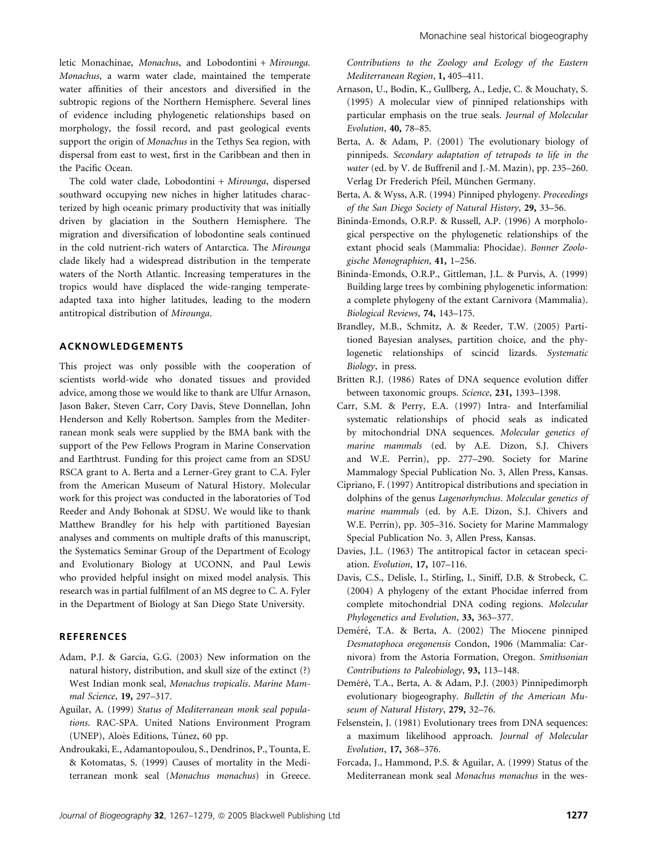letic Monachinae, Monachus, and Lobodontini + Mirounga. Monachus, a warm water clade, maintained the temperate water affinities of their ancestors and diversified in the subtropic regions of the Northern Hemisphere. Several lines of evidence including phylogenetic relationships based on morphology, the fossil record, and past geological events support the origin of Monachus in the Tethys Sea region, with dispersal from east to west, first in the Caribbean and then in the Pacific Ocean.

The cold water clade, Lobodontini + Mirounga, dispersed southward occupying new niches in higher latitudes characterized by high oceanic primary productivity that was initially driven by glaciation in the Southern Hemisphere. The migration and diversification of lobodontine seals continued in the cold nutrient-rich waters of Antarctica. The Mirounga clade likely had a widespread distribution in the temperate waters of the North Atlantic. Increasing temperatures in the tropics would have displaced the wide-ranging temperateadapted taxa into higher latitudes, leading to the modern antitropical distribution of Mirounga.

# ACKNOWLEDGEMENTS

This project was only possible with the cooperation of scientists world-wide who donated tissues and provided advice, among those we would like to thank are Ulfur Arnason, Jason Baker, Steven Carr, Cory Davis, Steve Donnellan, John Henderson and Kelly Robertson. Samples from the Mediterranean monk seals were supplied by the BMA bank with the support of the Pew Fellows Program in Marine Conservation and Earthtrust. Funding for this project came from an SDSU RSCA grant to A. Berta and a Lerner-Grey grant to C.A. Fyler from the American Museum of Natural History. Molecular work for this project was conducted in the laboratories of Tod Reeder and Andy Bohonak at SDSU. We would like to thank Matthew Brandley for his help with partitioned Bayesian analyses and comments on multiple drafts of this manuscript, the Systematics Seminar Group of the Department of Ecology and Evolutionary Biology at UCONN, and Paul Lewis who provided helpful insight on mixed model analysis. This research was in partial fulfilment of an MS degree to C. A. Fyler in the Department of Biology at San Diego State University.

## **REFERENCES**

- Adam, P.J. & Garcia, G.G. (2003) New information on the natural history, distribution, and skull size of the extinct (?) West Indian monk seal, Monachus tropicalis. Marine Mammal Science, 19, 297–317.
- Aguilar, A. (1999) Status of Mediterranean monk seal populations. RAC-SPA. United Nations Environment Program (UNEP), Aloès Editions, Túnez, 60 pp.
- Androukaki, E., Adamantopoulou, S., Dendrinos, P., Tounta, E. & Kotomatas, S. (1999) Causes of mortality in the Mediterranean monk seal (Monachus monachus) in Greece.

Contributions to the Zoology and Ecology of the Eastern Mediterranean Region, 1, 405–411.

- Arnason, U., Bodin, K., Gullberg, A., Ledje, C. & Mouchaty, S. (1995) A molecular view of pinniped relationships with particular emphasis on the true seals. Journal of Molecular Evolution, 40, 78–85.
- Berta, A. & Adam, P. (2001) The evolutionary biology of pinnipeds. Secondary adaptation of tetrapods to life in the water (ed. by V. de Buffrenil and J.-M. Mazin), pp. 235–260. Verlag Dr Frederich Pfeil, München Germany.
- Berta, A. & Wyss, A.R. (1994) Pinniped phylogeny. Proceedings of the San Diego Society of Natural History, 29, 33–56.
- Bininda-Emonds, O.R.P. & Russell, A.P. (1996) A morphological perspective on the phylogenetic relationships of the extant phocid seals (Mammalia: Phocidae). Bonner Zoologische Monographien, 41, 1–256.
- Bininda-Emonds, O.R.P., Gittleman, J.L. & Purvis, A. (1999) Building large trees by combining phylogenetic information: a complete phylogeny of the extant Carnivora (Mammalia). Biological Reviews, 74, 143–175.
- Brandley, M.B., Schmitz, A. & Reeder, T.W. (2005) Partitioned Bayesian analyses, partition choice, and the phylogenetic relationships of scincid lizards. Systematic Biology, in press.
- Britten R.J. (1986) Rates of DNA sequence evolution differ between taxonomic groups. Science, 231, 1393–1398.
- Carr, S.M. & Perry, E.A. (1997) Intra- and Interfamilial systematic relationships of phocid seals as indicated by mitochondrial DNA sequences. Molecular genetics of marine mammals (ed. by A.E. Dizon, S.J. Chivers and W.E. Perrin), pp. 277–290. Society for Marine Mammalogy Special Publication No. 3, Allen Press, Kansas.
- Cipriano, F. (1997) Antitropical distributions and speciation in dolphins of the genus Lagenorhynchus. Molecular genetics of marine mammals (ed. by A.E. Dizon, S.J. Chivers and W.E. Perrin), pp. 305–316. Society for Marine Mammalogy Special Publication No. 3, Allen Press, Kansas.
- Davies, J.L. (1963) The antitropical factor in cetacean speciation. Evolution, 17, 107–116.
- Davis, C.S., Delisle, I., Stirling, I., Siniff, D.B. & Strobeck, C. (2004) A phylogeny of the extant Phocidae inferred from complete mitochondrial DNA coding regions. Molecular Phylogenetics and Evolution, 33, 363–377.
- Deméré, T.A. & Berta, A. (2002) The Miocene pinniped Desmatophoca oregonensis Condon, 1906 (Mammalia: Carnivora) from the Astoria Formation, Oregon. Smithsonian Contributions to Paleobiology, 93, 113–148.
- Deméré, T.A., Berta, A. & Adam, P.J. (2003) Pinnipedimorph evolutionary biogeography. Bulletin of the American Museum of Natural History, 279, 32–76.
- Felsenstein, J. (1981) Evolutionary trees from DNA sequences: a maximum likelihood approach. Journal of Molecular Evolution, 17, 368–376.
- Forcada, J., Hammond, P.S. & Aguilar, A. (1999) Status of the Mediterranean monk seal Monachus monachus in the wes-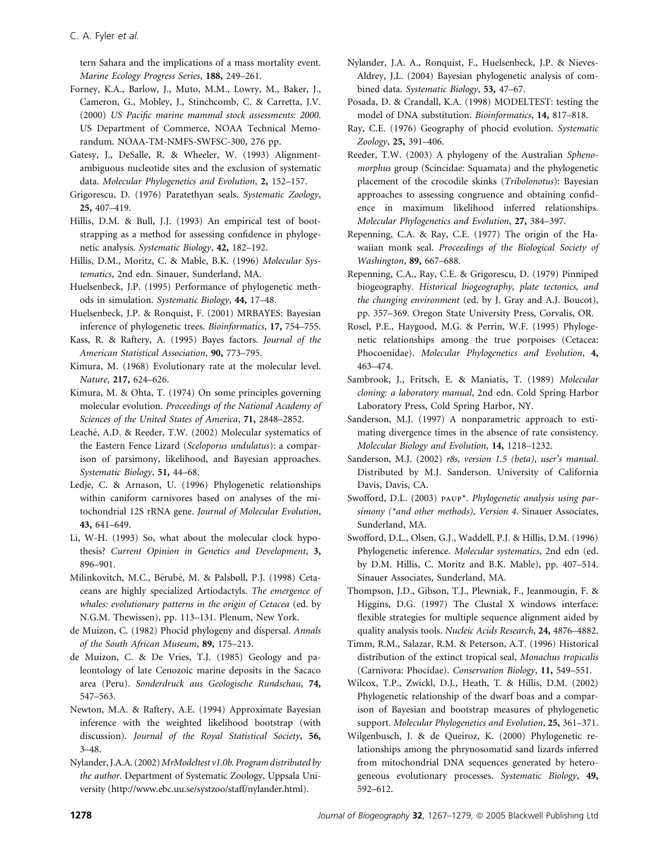C. A. Fyler et al.

tern Sahara and the implications of a mass mortality event. Marine Ecology Progress Series, 188, 249–261.

- Forney, K.A., Barlow, J., Muto, M.M., Lowry, M., Baker, J., Cameron, G., Mobley, J., Stinchcomb, C. & Carretta, J.V. (2000) US Pacific marine mammal stock assessments: 2000. US Department of Commerce, NOAA Technical Memorandum. NOAA-TM-NMFS-SWFSC-300, 276 pp.
- Gatesy, J., DeSalle, R. & Wheeler, W. (1993) Alignmentambiguous nucleotide sites and the exclusion of systematic data. Molecular Phylogenetics and Evolution, 2, 152–157.
- Grigorescu, D. (1976) Paratethyan seals. Systematic Zoology, 25, 407–419.
- Hillis, D.M. & Bull, J.J. (1993) An empirical test of bootstrapping as a method for assessing confidence in phylogenetic analysis. Systematic Biology, 42, 182–192.
- Hillis, D.M., Moritz, C. & Mable, B.K. (1996) Molecular Systematics, 2nd edn. Sinauer, Sunderland, MA.
- Huelsenbeck, J.P. (1995) Performance of phylogenetic methods in simulation. Systematic Biology, 44, 17–48.
- Huelsenbeck, J.P. & Ronquist, F. (2001) MRBAYES: Bayesian inference of phylogenetic trees. Bioinformatics, 17, 754–755.
- Kass, R. & Raftery, A. (1995) Bayes factors. Journal of the American Statistical Association, 90, 773–795.
- Kimura, M. (1968) Evolutionary rate at the molecular level. Nature, 217, 624–626.
- Kimura, M. & Ohta, T. (1974) On some principles governing molecular evolution. Proceedings of the National Academy of Sciences of the United States of America, 71, 2848–2852.
- Leaché, A.D. & Reeder, T.W. (2002) Molecular systematics of the Eastern Fence Lizard (Sceloporus undulatus): a comparison of parsimony, likelihood, and Bayesian approaches. Systematic Biology, 51, 44–68.
- Ledje, C. & Arnason, U. (1996) Phylogenetic relationships within caniform carnivores based on analyses of the mitochondrial 12S rRNA gene. Journal of Molecular Evolution, 43, 641–649.
- Li, W-H. (1993) So, what about the molecular clock hypothesis? Current Opinion in Genetics and Development, 3, 896–901.
- Milinkovitch, M.C., Bérubé, M. & Palsbøll, P.J. (1998) Cetaceans are highly specialized Artiodactyls. The emergence of whales: evolutionary patterns in the origin of Cetacea (ed. by N.G.M. Thewissen), pp. 113–131. Plenum, New York.
- de Muizon, C. (1982) Phocid phylogeny and dispersal. Annals of the South African Museum, 89, 175–213.
- de Muizon, C. & De Vries, T.J. (1985) Geology and paleontology of late Cenozoic marine deposits in the Sacaco area (Peru). Sonderdruck aus Geologische Rundschau, 74, 547–563.
- Newton, M.A. & Raftery, A.E. (1994) Approximate Bayesian inference with the weighted likelihood bootstrap (with discussion). Journal of the Royal Statistical Society, 56, 3–48.
- Nylander, J.A.A. (2002) MrModeltest v1.0b. Program distributed by the author. Department of Systematic Zoology, Uppsala University (http://www.ebc.uu.se/systzoo/staff/nylander.html).
- Nylander, J.A. A., Ronquist, F., Huelsenbeck, J.P. & Nieves-Aldrey, J.L. (2004) Bayesian phylogenetic analysis of combined data. Systematic Biology, 53, 47–67.
- Posada, D. & Crandall, K.A. (1998) MODELTEST: testing the model of DNA substitution. Bioinformatics, 14, 817–818.
- Ray, C.E. (1976) Geography of phocid evolution. Systematic Zoology, 25, 391–406.
- Reeder, T.W. (2003) A phylogeny of the Australian Sphenomorphus group (Scincidae: Squamata) and the phylogenetic placement of the crocodile skinks (Tribolonotus): Bayesian approaches to assessing congruence and obtaining confidence in maximum likelihood inferred relationships. Molecular Phylogenetics and Evolution, 27, 384–397.
- Repenning, C.A. & Ray, C.E. (1977) The origin of the Hawaiian monk seal. Proceedings of the Biological Society of Washington, 89, 667–688.
- Repenning, C.A., Ray, C.E. & Grigorescu, D. (1979) Pinniped biogeography. Historical biogeography, plate tectonics, and the changing environment (ed. by J. Gray and A.J. Boucot), pp. 357–369. Oregon State University Press, Corvalis, OR.
- Rosel, P.E., Haygood, M.G. & Perrin, W.F. (1995) Phylogenetic relationships among the true porpoises (Cetacea: Phocoenidae). Molecular Phylogenetics and Evolution, 4, 463–474.
- Sambrook, J., Fritsch, E. & Maniatis, T. (1989) Molecular cloning: a laboratory manual, 2nd edn. Cold Spring Harbor Laboratory Press, Cold Spring Harbor, NY.
- Sanderson, M.J. (1997) A nonparametric approach to estimating divergence times in the absence of rate consistency. Molecular Biology and Evolution, 14, 1218–1232.
- Sanderson, M.J. (2002) r8s, version 1.5 (beta), user's manual. Distributed by M.J. Sanderson. University of California Davis, Davis, CA.
- Swofford, D.L. (2003) paup\*. Phylogenetic analysis using parsimony (\*and other methods), Version 4. Sinauer Associates, Sunderland, MA.
- Swofford, D.L., Olsen, G.J., Waddell, P.J. & Hillis, D.M. (1996) Phylogenetic inference. Molecular systematics, 2nd edn (ed. by D.M. Hillis, C. Moritz and B.K. Mable), pp. 407–514. Sinauer Associates, Sunderland, MA.
- Thompson, J.D., Gibson, T.J., Plewniak, F., Jeanmougin, F. & Higgins, D.G. (1997) The Clustal X windows interface: flexible strategies for multiple sequence alignment aided by quality analysis tools. Nucleic Acids Research, 24, 4876–4882.
- Timm, R.M., Salazar, R.M. & Peterson, A.T. (1996) Historical distribution of the extinct tropical seal, Monachus tropicalis (Carnivora: Phocidae). Conservation Biology, 11, 549–551.
- Wilcox, T.P., Zwickl, D.J., Heath, T. & Hillis, D.M. (2002) Phylogenetic relationship of the dwarf boas and a comparison of Bayesian and bootstrap measures of phylogenetic support. Molecular Phylogenetics and Evolution, 25, 361–371.
- Wilgenbusch, J. & de Queiroz, K. (2000) Phylogenetic relationships among the phrynosomatid sand lizards inferred from mitochondrial DNA sequences generated by heterogeneous evolutionary processes. Systematic Biology, 49, 592–612.